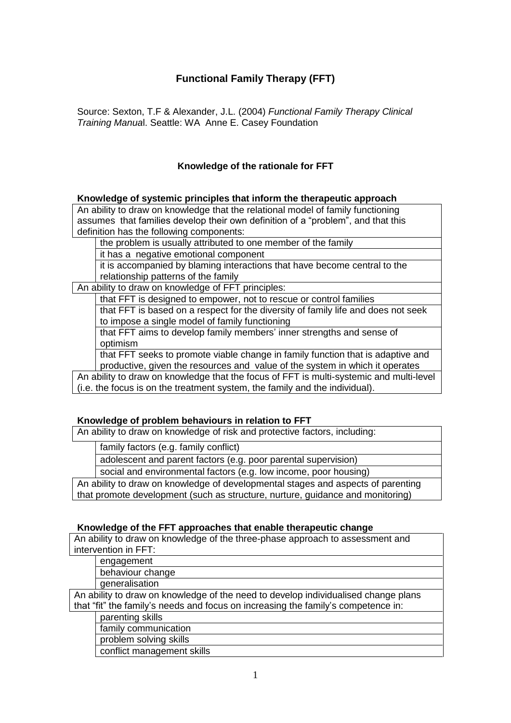# **Functional Family Therapy (FFT)**

Source: Sexton, T.F & Alexander, J.L. (2004) *Functional Family Therapy Clinical Training Manua*l. Seattle: WA Anne E. Casey Foundation

## **Knowledge of the rationale for FFT**

#### **Knowledge of systemic principles that inform the therapeutic approach**

An ability to draw on knowledge that the relational model of family functioning assumes that families develop their own definition of a "problem", and that this definition has the following components:

the problem is usually attributed to one member of the family

it has a negative emotional component

it is accompanied by blaming interactions that have become central to the relationship patterns of the family

An ability to draw on knowledge of FFT principles:

that FFT is designed to empower, not to rescue or control families

that FFT is based on a respect for the diversity of family life and does not seek to impose a single model of family functioning

that FFT aims to develop family members' inner strengths and sense of optimism

that FFT seeks to promote viable change in family function that is adaptive and productive, given the resources and value of the system in which it operates

An ability to draw on knowledge that the focus of FFT is multi-systemic and multi-level (i.e. the focus is on the treatment system, the family and the individual).

### **Knowledge of problem behaviours in relation to FFT**

An ability to draw on knowledge of risk and protective factors, including:

family factors (e.g. family conflict)

adolescent and parent factors (e.g. poor parental supervision)

social and environmental factors (e.g. low income, poor housing)

An ability to draw on knowledge of developmental stages and aspects of parenting that promote development (such as structure, nurture, guidance and monitoring)

#### **Knowledge of the FFT approaches that enable therapeutic change**

An ability to draw on knowledge of the three-phase approach to assessment and intervention in FFT:

engagement

behaviour change

generalisation

An ability to draw on knowledge of the need to develop individualised change plans that "fit" the family's needs and focus on increasing the family's competence in:

parenting skills

family communication

problem solving skills

conflict management skills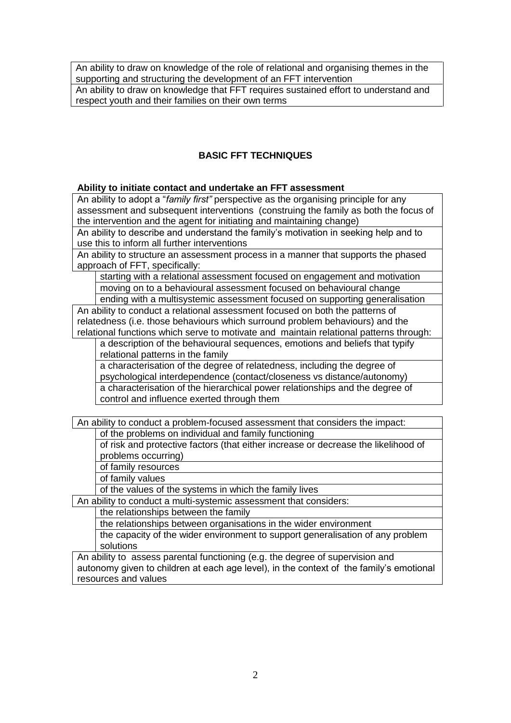An ability to draw on knowledge of the role of relational and organising themes in the supporting and structuring the development of an FFT intervention

An ability to draw on knowledge that FFT requires sustained effort to understand and respect youth and their families on their own terms

## **BASIC FFT TECHNIQUES**

#### **Ability to initiate contact and undertake an FFT assessment**

An ability to adopt a "*family first"* perspective as the organising principle for any assessment and subsequent interventions (construing the family as both the focus of the intervention and the agent for initiating and maintaining change)

An ability to describe and understand the family's motivation in seeking help and to use this to inform all further interventions

An ability to structure an assessment process in a manner that supports the phased approach of FFT, specifically:

starting with a relational assessment focused on engagement and motivation moving on to a behavioural assessment focused on behavioural change

ending with a multisystemic assessment focused on supporting generalisation An ability to conduct a relational assessment focused on both the patterns of relatedness (i.e. those behaviours which surround problem behaviours) and the relational functions which serve to motivate and maintain relational patterns through:

a description of the behavioural sequences, emotions and beliefs that typify relational patterns in the family

a characterisation of the degree of relatedness, including the degree of psychological interdependence (contact/closeness vs distance/autonomy) a characterisation of the hierarchical power relationships and the degree of control and influence exerted through them

An ability to conduct a problem-focused assessment that considers the impact:

of the problems on individual and family functioning

of risk and protective factors (that either increase or decrease the likelihood of problems occurring)

of family resources

of family values

of the values of the systems in which the family lives

An ability to conduct a multi-systemic assessment that considers:

the relationships between the family

the relationships between organisations in the wider environment

the capacity of the wider environment to support generalisation of any problem solutions

An ability to assess parental functioning (e.g. the degree of supervision and autonomy given to children at each age level), in the context of the family's emotional resources and values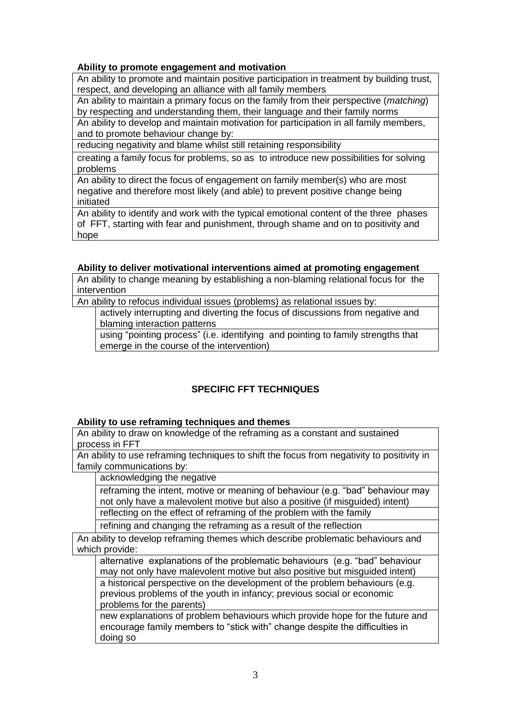## **Ability to promote engagement and motivation**

An ability to promote and maintain positive participation in treatment by building trust, respect, and developing an alliance with all family members

An ability to maintain a primary focus on the family from their perspective (*matching*) by respecting and understanding them, their language and their family norms

An ability to develop and maintain motivation for participation in all family members, and to promote behaviour change by:

reducing negativity and blame whilst still retaining responsibility

creating a family focus for problems, so as to introduce new possibilities for solving problems

An ability to direct the focus of engagement on family member(s) who are most negative and therefore most likely (and able) to prevent positive change being initiated

An ability to identify and work with the typical emotional content of the three phases of FFT, starting with fear and punishment, through shame and on to positivity and hope

## **Ability to deliver motivational interventions aimed at promoting engagement**

An ability to change meaning by establishing a non-blaming relational focus for the intervention

An ability to refocus individual issues (problems) as relational issues by:

actively interrupting and diverting the focus of discussions from negative and blaming interaction patterns

using "pointing process" (i.e. identifying and pointing to family strengths that emerge in the course of the intervention)

# **SPECIFIC FFT TECHNIQUES**

### **Ability to use reframing techniques and themes**

An ability to draw on knowledge of the reframing as a constant and sustained process in FFT

An ability to use reframing techniques to shift the focus from negativity to positivity in family communications by:

acknowledging the negative

reframing the intent, motive or meaning of behaviour (e.g. "bad" behaviour may not only have a malevolent motive but also a positive (if misguided) intent)

reflecting on the effect of reframing of the problem with the family

refining and changing the reframing as a result of the reflection

An ability to develop reframing themes which describe problematic behaviours and which provide:

alternative explanations of the problematic behaviours (e.g. "bad" behaviour may not only have malevolent motive but also positive but misguided intent) a historical perspective on the development of the problem behaviours (e.g. previous problems of the youth in infancy; previous social or economic problems for the parents)

new explanations of problem behaviours which provide hope for the future and encourage family members to "stick with" change despite the difficulties in doing so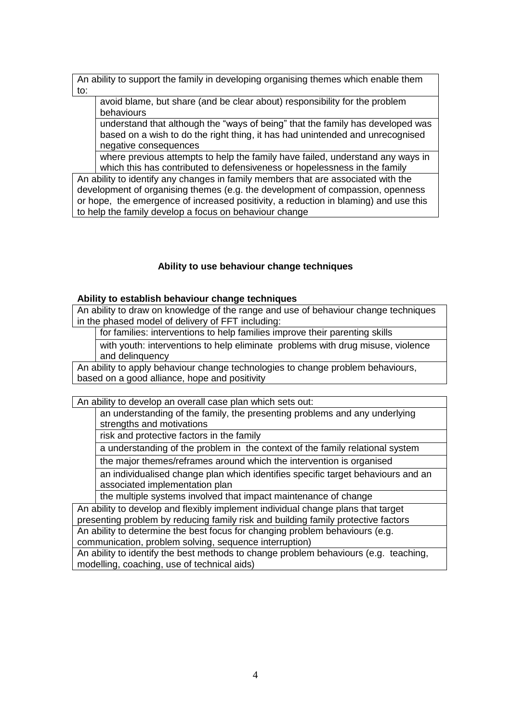An ability to support the family in developing organising themes which enable them to:

avoid blame, but share (and be clear about) responsibility for the problem behaviours

understand that although the "ways of being" that the family has developed was based on a wish to do the right thing, it has had unintended and unrecognised negative consequences

where previous attempts to help the family have failed, understand any ways in which this has contributed to defensiveness or hopelessness in the family

An ability to identify any changes in family members that are associated with the development of organising themes (e.g. the development of compassion, openness or hope, the emergence of increased positivity, a reduction in blaming) and use this to help the family develop a focus on behaviour change

## **Ability to use behaviour change techniques**

#### **Ability to establish behaviour change techniques**

An ability to draw on knowledge of the range and use of behaviour change techniques in the phased model of delivery of FFT including:

for families: interventions to help families improve their parenting skills

with youth: interventions to help eliminate problems with drug misuse, violence and delinquency

An ability to apply behaviour change technologies to change problem behaviours, based on a good alliance, hope and positivity

An ability to develop an overall case plan which sets out:

an understanding of the family, the presenting problems and any underlying strengths and motivations

risk and protective factors in the family

a understanding of the problem in the context of the family relational system

the major themes/reframes around which the intervention is organised

an individualised change plan which identifies specific target behaviours and an associated implementation plan

the multiple systems involved that impact maintenance of change

An ability to develop and flexibly implement individual change plans that target presenting problem by reducing family risk and building family protective factors An ability to determine the best focus for changing problem behaviours (e.g.

communication, problem solving, sequence interruption)

An ability to identify the best methods to change problem behaviours (e.g. teaching, modelling, coaching, use of technical aids)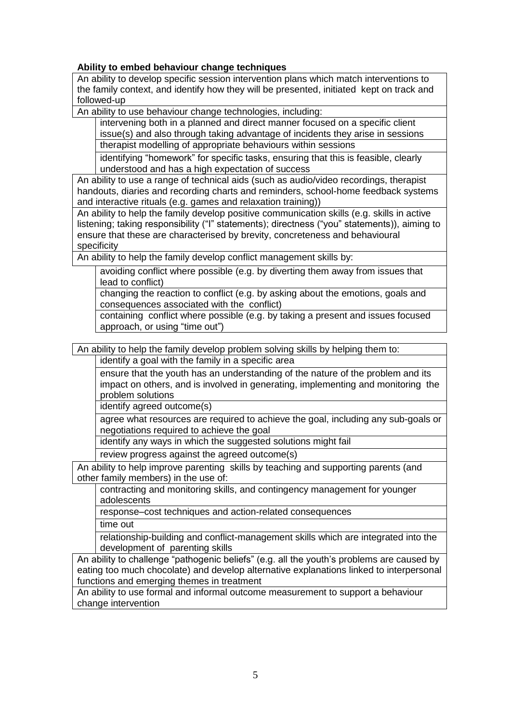## **Ability to embed behaviour change techniques**

An ability to develop specific session intervention plans which match interventions to the family context, and identify how they will be presented, initiated kept on track and followed-up

An ability to use behaviour change technologies, including:

intervening both in a planned and direct manner focused on a specific client issue(s) and also through taking advantage of incidents they arise in sessions therapist modelling of appropriate behaviours within sessions

identifying "homework" for specific tasks, ensuring that this is feasible, clearly understood and has a high expectation of success

An ability to use a range of technical aids (such as audio/video recordings, therapist handouts, diaries and recording charts and reminders, school-home feedback systems and interactive rituals (e.g. games and relaxation training))

An ability to help the family develop positive communication skills (e.g. skills in active listening; taking responsibility ("I" statements); directness ("you" statements)), aiming to ensure that these are characterised by brevity, concreteness and behavioural specificity

An ability to help the family develop conflict management skills by:

avoiding conflict where possible (e.g. by diverting them away from issues that lead to conflict)

changing the reaction to conflict (e.g. by asking about the emotions, goals and consequences associated with the conflict)

containing conflict where possible (e.g. by taking a present and issues focused approach, or using "time out")

An ability to help the family develop problem solving skills by helping them to:

identify a goal with the family in a specific area

ensure that the youth has an understanding of the nature of the problem and its impact on others, and is involved in generating, implementing and monitoring the problem solutions

identify agreed outcome(s)

agree what resources are required to achieve the goal, including any sub-goals or negotiations required to achieve the goal

identify any ways in which the suggested solutions might fail

review progress against the agreed outcome(s)

An ability to help improve parenting skills by teaching and supporting parents (and other family members) in the use of:

contracting and monitoring skills, and contingency management for younger adolescents

response–cost techniques and action-related consequences

time out

relationship-building and conflict-management skills which are integrated into the development of parenting skills

An ability to challenge "pathogenic beliefs" (e.g. all the youth's problems are caused by eating too much chocolate) and develop alternative explanations linked to interpersonal functions and emerging themes in treatment

An ability to use formal and informal outcome measurement to support a behaviour change intervention